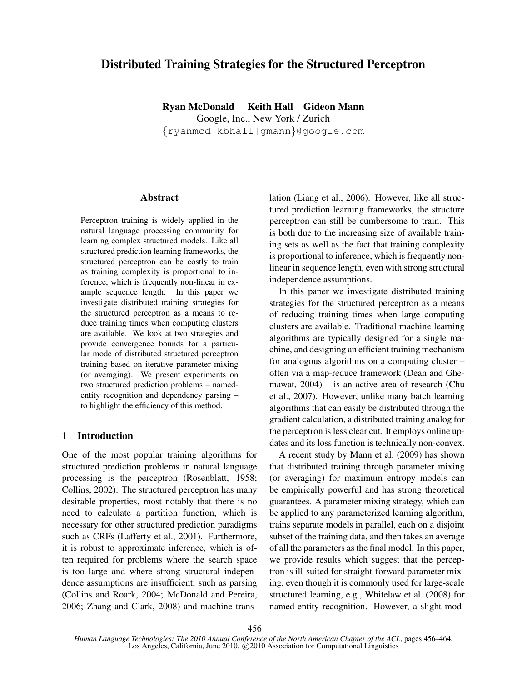# Distributed Training Strategies for the Structured Perceptron

Ryan McDonald Keith Hall Gideon Mann Google, Inc., New York / Zurich {ryanmcd|kbhall|gmann}@google.com

#### Abstract

Perceptron training is widely applied in the natural language processing community for learning complex structured models. Like all structured prediction learning frameworks, the structured perceptron can be costly to train as training complexity is proportional to inference, which is frequently non-linear in example sequence length. In this paper we investigate distributed training strategies for the structured perceptron as a means to reduce training times when computing clusters are available. We look at two strategies and provide convergence bounds for a particular mode of distributed structured perceptron training based on iterative parameter mixing (or averaging). We present experiments on two structured prediction problems – namedentity recognition and dependency parsing – to highlight the efficiency of this method.

## 1 Introduction

One of the most popular training algorithms for structured prediction problems in natural language processing is the perceptron (Rosenblatt, 1958; Collins, 2002). The structured perceptron has many desirable properties, most notably that there is no need to calculate a partition function, which is necessary for other structured prediction paradigms such as CRFs (Lafferty et al., 2001). Furthermore, it is robust to approximate inference, which is often required for problems where the search space is too large and where strong structural independence assumptions are insufficient, such as parsing (Collins and Roark, 2004; McDonald and Pereira, 2006; Zhang and Clark, 2008) and machine translation (Liang et al., 2006). However, like all structured prediction learning frameworks, the structure perceptron can still be cumbersome to train. This is both due to the increasing size of available training sets as well as the fact that training complexity is proportional to inference, which is frequently nonlinear in sequence length, even with strong structural independence assumptions.

In this paper we investigate distributed training strategies for the structured perceptron as a means of reducing training times when large computing clusters are available. Traditional machine learning algorithms are typically designed for a single machine, and designing an efficient training mechanism for analogous algorithms on a computing cluster – often via a map-reduce framework (Dean and Ghemawat, 2004) – is an active area of research (Chu et al., 2007). However, unlike many batch learning algorithms that can easily be distributed through the gradient calculation, a distributed training analog for the perceptron is less clear cut. It employs online updates and its loss function is technically non-convex.

A recent study by Mann et al. (2009) has shown that distributed training through parameter mixing (or averaging) for maximum entropy models can be empirically powerful and has strong theoretical guarantees. A parameter mixing strategy, which can be applied to any parameterized learning algorithm, trains separate models in parallel, each on a disjoint subset of the training data, and then takes an average of all the parameters as the final model. In this paper, we provide results which suggest that the perceptron is ill-suited for straight-forward parameter mixing, even though it is commonly used for large-scale structured learning, e.g., Whitelaw et al. (2008) for named-entity recognition. However, a slight mod-

*Human Language Technologies: The 2010 Annual Conference of the North American Chapter of the ACL*, pages 456–464, Los Angeles, California, June 2010. C 2010 Association for Computational Linguistics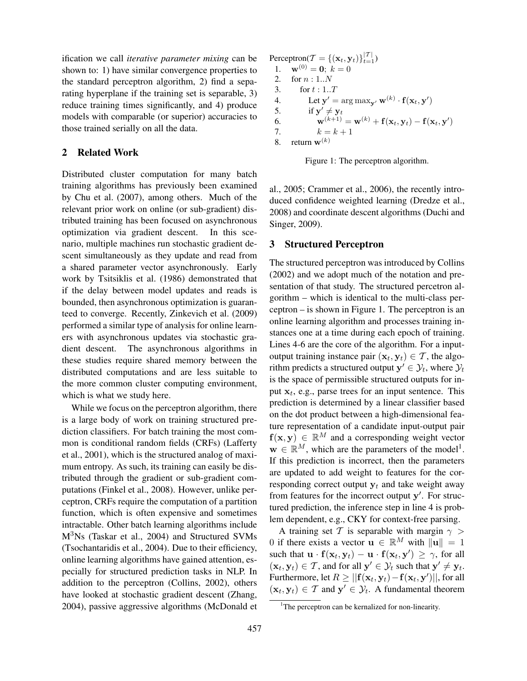ification we call *iterative parameter mixing* can be shown to: 1) have similar convergence properties to the standard perceptron algorithm, 2) find a separating hyperplane if the training set is separable, 3) reduce training times significantly, and 4) produce models with comparable (or superior) accuracies to those trained serially on all the data.

## 2 Related Work

Distributed cluster computation for many batch training algorithms has previously been examined by Chu et al. (2007), among others. Much of the relevant prior work on online (or sub-gradient) distributed training has been focused on asynchronous optimization via gradient descent. In this scenario, multiple machines run stochastic gradient descent simultaneously as they update and read from a shared parameter vector asynchronously. Early work by Tsitsiklis et al. (1986) demonstrated that if the delay between model updates and reads is bounded, then asynchronous optimization is guaranteed to converge. Recently, Zinkevich et al. (2009) performed a similar type of analysis for online learners with asynchronous updates via stochastic gradient descent. The asynchronous algorithms in these studies require shared memory between the distributed computations and are less suitable to the more common cluster computing environment, which is what we study here.

While we focus on the perceptron algorithm, there is a large body of work on training structured prediction classifiers. For batch training the most common is conditional random fields (CRFs) (Lafferty et al., 2001), which is the structured analog of maximum entropy. As such, its training can easily be distributed through the gradient or sub-gradient computations (Finkel et al., 2008). However, unlike perceptron, CRFs require the computation of a partition function, which is often expensive and sometimes intractable. Other batch learning algorithms include M3Ns (Taskar et al., 2004) and Structured SVMs (Tsochantaridis et al., 2004). Due to their efficiency, online learning algorithms have gained attention, especially for structured prediction tasks in NLP. In addition to the perceptron (Collins, 2002), others have looked at stochastic gradient descent (Zhang, 2004), passive aggressive algorithms (McDonald et Perceptron( $\mathcal{T} = \{(\mathbf{x}_t, \mathbf{y}_t)\}_{t=1}^{|\mathcal{T}|}$ ) 1.  $\mathbf{w}^{(0)} = \mathbf{0}$ ;  $k = 0$ 2. for  $n:1..N$ 3. for  $t : 1..T$ 4. Let  $\mathbf{y}' = \arg \max_{\mathbf{y}'} \mathbf{w}^{(k)} \cdot \mathbf{f}(\mathbf{x}_t, \mathbf{y}')$ 5. if  $y' \neq y_t$ 6.  ${\bf w}^{(k+1)} = {\bf w}^{(k)} + {\bf f}({\bf x}_t, {\bf y}_t) - {\bf f}({\bf x}_t, {\bf y}')$ 7.  $k = k + 1$ 8. return  $\mathbf{w}^{(k)}$ 



al., 2005; Crammer et al., 2006), the recently introduced confidence weighted learning (Dredze et al., 2008) and coordinate descent algorithms (Duchi and Singer, 2009).

### 3 Structured Perceptron

The structured perceptron was introduced by Collins (2002) and we adopt much of the notation and presentation of that study. The structured percetron algorithm – which is identical to the multi-class perceptron – is shown in Figure 1. The perceptron is an online learning algorithm and processes training instances one at a time during each epoch of training. Lines 4-6 are the core of the algorithm. For a inputoutput training instance pair  $(\mathbf{x}_t, \mathbf{y}_t) \in \mathcal{T}$ , the algorithm predicts a structured output  $\mathbf{y}' \in \mathcal{Y}_t$ , where  $\mathcal{Y}_t$ is the space of permissible structured outputs for input  $x_t$ , e.g., parse trees for an input sentence. This prediction is determined by a linear classifier based on the dot product between a high-dimensional feature representation of a candidate input-output pair  $f(x, y) \in \mathbb{R}^M$  and a corresponding weight vector  $\mathbf{w} \in \mathbb{R}^M$ , which are the parameters of the model<sup>1</sup>. If this prediction is incorrect, then the parameters are updated to add weight to features for the corresponding correct output  $y_t$  and take weight away from features for the incorrect output  $y'$ . For structured prediction, the inference step in line 4 is problem dependent, e.g., CKY for context-free parsing.

A training set T is separable with margin  $\gamma$ 0 if there exists a vector  $\mathbf{u} \in \mathbb{R}^M$  with  $\|\mathbf{u}\| = 1$ such that  $\mathbf{u} \cdot \mathbf{f}(\mathbf{x}_t, \mathbf{y}_t) - \mathbf{u} \cdot \mathbf{f}(\mathbf{x}_t, \mathbf{y}') \ge \gamma$ , for all  $(\mathbf{x}_t, \mathbf{y}_t) \in \mathcal{T}$ , and for all  $\mathbf{y}' \in \mathcal{Y}_t$  such that  $\mathbf{y}' \neq \mathbf{y}_t$ . Furthermore, let  $R \geq ||{\bf f}({\bf x}_t,{\bf y}_t) - {\bf f}({\bf x}_t,{\bf y}')||$ , for all  $(\mathbf{x}_t, \mathbf{y}_t) \in \mathcal{T}$  and  $\mathbf{y}' \in \mathcal{Y}_t$ . A fundamental theorem

<sup>&</sup>lt;sup>1</sup>The perceptron can be kernalized for non-linearity.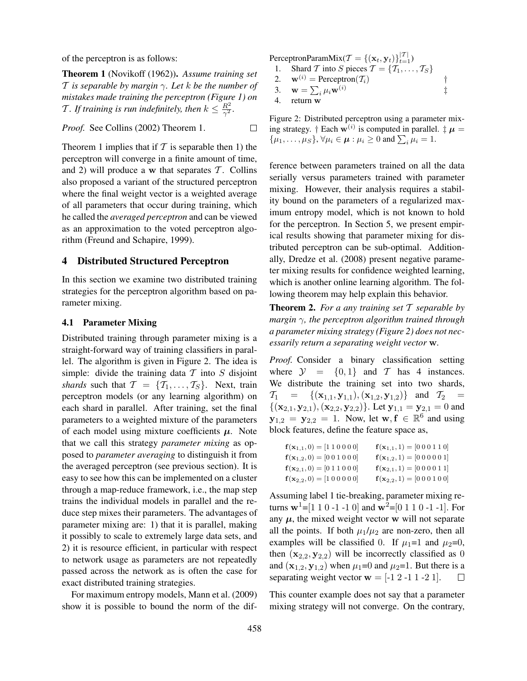of the perceptron is as follows:

Theorem 1 (Novikoff (1962)). *Assume training set* T *is separable by margin* γ*. Let* k *be the number of mistakes made training the perceptron (Figure 1) on* T. If training is run indefinitely, then  $k \leq \frac{R^2}{\gamma^2}$  $\frac{R^2}{\gamma^2}$ .

*Proof.* See Collins (2002) Theorem 1.  $\Box$ 

Theorem 1 implies that if  $T$  is separable then 1) the perceptron will converge in a finite amount of time, and 2) will produce a w that separates  $\mathcal T$ . Collins also proposed a variant of the structured perceptron where the final weight vector is a weighted average of all parameters that occur during training, which he called the *averaged perceptron* and can be viewed as an approximation to the voted perceptron algorithm (Freund and Schapire, 1999).

### 4 Distributed Structured Perceptron

In this section we examine two distributed training strategies for the perceptron algorithm based on parameter mixing.

### 4.1 Parameter Mixing

Distributed training through parameter mixing is a straight-forward way of training classifiers in parallel. The algorithm is given in Figure 2. The idea is simple: divide the training data  $T$  into  $S$  disjoint *shards* such that  $\mathcal{T} = \{T_1, \ldots, T_S\}$ . Next, train perceptron models (or any learning algorithm) on each shard in parallel. After training, set the final parameters to a weighted mixture of the parameters of each model using mixture coefficients  $\mu$ . Note that we call this strategy *parameter mixing* as opposed to *parameter averaging* to distinguish it from the averaged perceptron (see previous section). It is easy to see how this can be implemented on a cluster through a map-reduce framework, i.e., the map step trains the individual models in parallel and the reduce step mixes their parameters. The advantages of parameter mixing are: 1) that it is parallel, making it possibly to scale to extremely large data sets, and 2) it is resource efficient, in particular with respect to network usage as parameters are not repeatedly passed across the network as is often the case for exact distributed training strategies.

For maximum entropy models, Mann et al. (2009) show it is possible to bound the norm of the dif-

$$
\text{PerceptronParamMix}(\mathcal{T} = \{(\mathbf{x}_t, \mathbf{y}_t)\}_{t=1}^{|\mathcal{T}|})
$$

1. Shard T into S pieces  $\mathcal{T} = \{T_1, \ldots, T_S\}$ 

2.  $\mathbf{w}^{(i)} = \text{Perceptron}(\mathcal{T}_i)$  †

3.  $\mathbf{w} = \sum_i \mu_i \mathbf{w}^{(i)}$ 

4. return w

Figure 2: Distributed perceptron using a parameter mixing strategy. † Each  $w^{(i)}$  is computed in parallel.  $\ddagger \mu =$  $\{\mu_1,\ldots,\mu_S\}, \forall \mu_i \in \boldsymbol{\mu} : \mu_i \geq 0$  and  $\sum_i \mu_i = 1$ .

‡

ference between parameters trained on all the data serially versus parameters trained with parameter mixing. However, their analysis requires a stability bound on the parameters of a regularized maximum entropy model, which is not known to hold for the perceptron. In Section 5, we present empirical results showing that parameter mixing for distributed perceptron can be sub-optimal. Additionally, Dredze et al. (2008) present negative parameter mixing results for confidence weighted learning, which is another online learning algorithm. The following theorem may help explain this behavior.

Theorem 2. *For a any training set* T *separable by margin* γ*, the perceptron algorithm trained through a parameter mixing strategy (Figure 2) does not necessarily return a separating weight vector* w*.*

*Proof.* Consider a binary classification setting where  $\mathcal{Y} = \{0, 1\}$  and T has 4 instances. We distribute the training set into two shards,  $\mathcal{T}_1 = \{(\mathbf{x}_{1,1}, \mathbf{y}_{1,1}), (\mathbf{x}_{1,2}, \mathbf{y}_{1,2})\}$  and  $\mathcal{T}_2 =$  $\{(\mathbf{x}_{2,1}, \mathbf{y}_{2,1}), (\mathbf{x}_{2,2}, \mathbf{y}_{2,2})\}.$  Let  $\mathbf{y}_{1,1} = \mathbf{y}_{2,1} = 0$  and  $\mathbf{y}_{1,2} = \mathbf{y}_{2,2} = 1$ . Now, let  $\mathbf{w}, \mathbf{f} \in \mathbb{R}^6$  and using block features, define the feature space as,

| $f(\mathbf{x}_{1,1},0) = [1 1 0 0 0 0]$      | $f(\mathbf{x}_{1,1}, 1) = [0 0 0 1 1 0]$           |
|----------------------------------------------|----------------------------------------------------|
| $f(\mathbf{x}_{1,2},0) = [0\ 0\ 1\ 0\ 0\ 0]$ | $f(\mathbf{x}_{1,2}, 1) = [0 \ 0 \ 0 \ 0 \ 0 \ 1]$ |
| $f(\mathbf{x}_{2,1},0) = [0 1 1 0 0 0]$      | $f(\mathbf{x}_{2,1}, 1) = [0 0 0 0 1 1]$           |
| $f(\mathbf{x}_{2,2},0) = [1 0 0 0 0 0]$      | $f(\mathbf{x}_{2,2}, 1) = [0 \ 0 \ 0 \ 1 \ 0 \ 0]$ |

Assuming label 1 tie-breaking, parameter mixing returns  $w^1$ =[1 1 0 -1 -1 0] and  $w^2$ =[0 1 1 0 -1 -1]. For any  $\mu$ , the mixed weight vector w will not separate all the points. If both  $\mu_1/\mu_2$  are non-zero, then all examples will be classified 0. If  $\mu_1=1$  and  $\mu_2=0$ , then  $(x_{2,2}, y_{2,2})$  will be incorrectly classified as 0 and  $(\mathbf{x}_{1,2}, \mathbf{y}_{1,2})$  when  $\mu_1=0$  and  $\mu_2=1$ . But there is a separating weight vector  $w = [-1 \ 2 \ -1 \ 1 \ -2 \ 1]$ .  $\Box$ 

This counter example does not say that a parameter mixing strategy will not converge. On the contrary,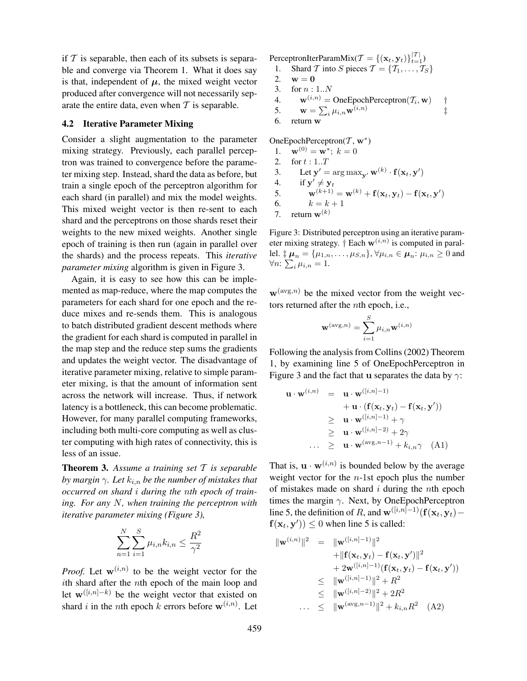if  $T$  is separable, then each of its subsets is separable and converge via Theorem 1. What it does say is that, independent of  $\mu$ , the mixed weight vector produced after convergence will not necessarily separate the entire data, even when  $T$  is separable.

### 4.2 Iterative Parameter Mixing

Consider a slight augmentation to the parameter mixing strategy. Previously, each parallel perceptron was trained to convergence before the parameter mixing step. Instead, shard the data as before, but train a single epoch of the perceptron algorithm for each shard (in parallel) and mix the model weights. This mixed weight vector is then re-sent to each shard and the perceptrons on those shards reset their weights to the new mixed weights. Another single epoch of training is then run (again in parallel over the shards) and the process repeats. This *iterative parameter mixing* algorithm is given in Figure 3.

Again, it is easy to see how this can be implemented as map-reduce, where the map computes the parameters for each shard for one epoch and the reduce mixes and re-sends them. This is analogous to batch distributed gradient descent methods where the gradient for each shard is computed in parallel in the map step and the reduce step sums the gradients and updates the weight vector. The disadvantage of iterative parameter mixing, relative to simple parameter mixing, is that the amount of information sent across the network will increase. Thus, if network latency is a bottleneck, this can become problematic. However, for many parallel computing frameworks, including both multi-core computing as well as cluster computing with high rates of connectivity, this is less of an issue.

Theorem 3. *Assume a training set* T *is separable by margin*  $\gamma$ *. Let*  $k_{i,n}$  *be the number of mistakes that occurred on shard* i *during the* n*th epoch of training. For any* N*, when training the perceptron with iterative parameter mixing (Figure 3),*

$$
\sum_{n=1}^{N} \sum_{i=1}^{S} \mu_{i,n} k_{i,n} \le \frac{R^2}{\gamma^2}
$$

*Proof.* Let  $w^{(i,n)}$  to be the weight vector for the ith shard after the nth epoch of the main loop and let  $\mathbf{w}^{([i,n]-k)}$  be the weight vector that existed on shard *i* in the *n*th epoch *k* errors before  $\mathbf{w}^{(i,n)}$ . Let

PerceptronIterParamMix( $\mathcal{T} = \{(\mathbf{x}_t, \mathbf{y}_t)\}_{t=1}^{|\mathcal{T}|}$ )

- 1. Shard T into S pieces  $\mathcal{T} = \{T_1, \ldots, T_S\}$
- 2.  $w = 0$
- 3. for n : 1..N
- 4.  $\mathbf{w}^{(i,n)} = \text{OneEpochPerceptron}(\mathcal{T}_i, \mathbf{w})$  †
- 5.  $\mathbf{w} = \sum_i \mu_{i,n} \mathbf{w}^{(i,n)}$ ‡
- 6. return w

OneEpochPerceptron( $T$ , w<sup>\*</sup>)

- 1.  $\mathbf{w}^{(0)} = \mathbf{w}^*$ ;  $k = 0$ 2. for  $t : 1..T$
- 3. Let  $\mathbf{y}' = \arg \max_{\mathbf{y}'} \mathbf{w}^{(k)} \cdot \mathbf{f}(\mathbf{x}_t, \mathbf{y}')$
- 4. if  $y' \neq y_t$
- 5.  $\mathbf{w}^{(k+1)} = \mathbf{w}^{(k)} + \mathbf{f}(\mathbf{x}_t, \mathbf{y}_t) \mathbf{f}(\mathbf{x}_t, \mathbf{y}')$
- 6.  $k = k + 1$
- 7. return  $\mathbf{w}^{(k)}$

Figure 3: Distributed perceptron using an iterative parameter mixing strategy.  $\dagger$  Each  $\mathbf{w}^{(i,n)}$  is computed in parallel.  $\sharp \mu_n = {\mu_{1,n}, \ldots, \mu_{S,n}}$ ,  $\forall \mu_{i,n} \in \mu_n: \mu_{i,n} \ge 0$  and  $\forall n: \sum_{i} \mu_{i,n} = 1.$ 

 $\mathbf{w}^{(\text{avg},n)}$  be the mixed vector from the weight vectors returned after the nth epoch, i.e.,

$$
\mathbf{w}^{(\text{avg},n)} = \sum_{i=1}^{S} \mu_{i,n} \mathbf{w}^{(i,n)}
$$

Following the analysis from Collins (2002) Theorem 1, by examining line 5 of OneEpochPerceptron in Figure 3 and the fact that u separates the data by  $\gamma$ :

$$
\mathbf{u} \cdot \mathbf{w}^{(i,n)} = \mathbf{u} \cdot \mathbf{w}^{([i,n]-1)} \n+ \mathbf{u} \cdot (\mathbf{f}(\mathbf{x}_t, \mathbf{y}_t) - \mathbf{f}(\mathbf{x}_t, \mathbf{y}')) \n\geq \mathbf{u} \cdot \mathbf{w}^{([i,n]-1)} + \gamma \n\geq \mathbf{u} \cdot \mathbf{w}^{([i,n]-2)} + 2\gamma \n... \geq \mathbf{u} \cdot \mathbf{w}^{(\text{avg}, n-1)} + k_{i,n} \gamma \quad \text{(A1)}
$$

That is,  $\mathbf{u} \cdot \mathbf{w}^{(i,n)}$  is bounded below by the average weight vector for the  $n$ -1st epoch plus the number of mistakes made on shard  $i$  during the nth epoch times the margin  $\gamma$ . Next, by OneEpochPerceptron line 5, the definition of R, and  $\mathbf{w}^{([i,n]-1)}(\mathbf{f}(\mathbf{x}_t, \mathbf{y}_t)$  $f(\mathbf{x}_t, \mathbf{y}') \leq 0$  when line 5 is called:

$$
\|\mathbf{w}^{(i,n)}\|^2 = \|\mathbf{w}^{([i,n]-1)}\|^2
$$
  
+  $\|\mathbf{f}(\mathbf{x}_t, \mathbf{y}_t) - \mathbf{f}(\mathbf{x}_t, \mathbf{y}')\|^2$   
+  $2\mathbf{w}^{([i,n]-1)}(\mathbf{f}(\mathbf{x}_t, \mathbf{y}_t) - \mathbf{f}(\mathbf{x}_t, \mathbf{y}'))$   
 $\leq \|\mathbf{w}^{([i,n]-1)}\|^2 + R^2$   
 $\leq \|\mathbf{w}^{([i,n]-2)}\|^2 + 2R^2$   
...  $\leq \|\mathbf{w}^{(\text{avg},n-1)}\|^2 + k_{i,n}R^2$  (A2)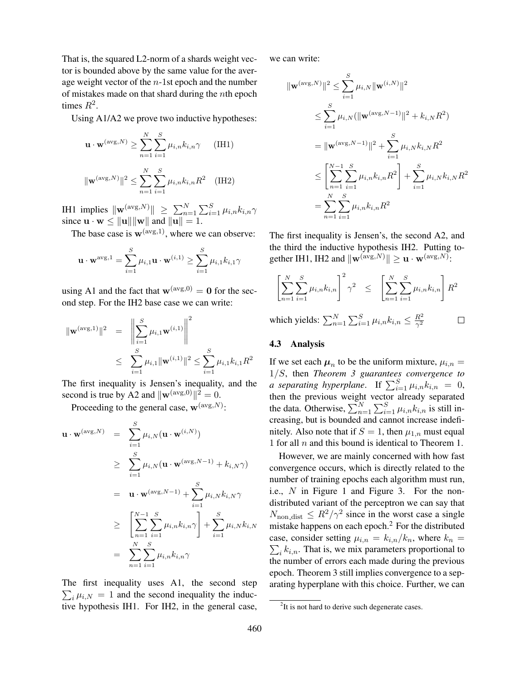That is, the squared L2-norm of a shards weight vector is bounded above by the same value for the average weight vector of the  $n-1$ st epoch and the number of mistakes made on that shard during the nth epoch times  $R^2$ .

Using A1/A2 we prove two inductive hypotheses:

$$
\mathbf{u} \cdot \mathbf{w}^{(\text{avg}, N)} \ge \sum_{n=1}^{N} \sum_{i=1}^{S} \mu_{i,n} k_{i,n} \gamma \qquad \text{(IH1)}
$$

$$
\|\mathbf{w}^{(\text{avg}, N)}\|^2 \le \sum_{n=1}^{N} \sum_{i=1}^{S} \mu_{i,n} k_{i,n} R^2 \qquad \text{(IH2)}
$$

IH1 implies  $\|\mathbf{w}^{(\text{avg},N)}\| \ge \sum_{n=1}^{N} \sum_{i=1}^{S} \mu_{i,n} k_{i,n} \gamma$ since  $\mathbf{u} \cdot \mathbf{w} \le ||\mathbf{u}|| ||\mathbf{w}||$  and  $||\mathbf{u}|| = 1$ .

 $n=1$   $i=1$ 

The base case is  $w^{(\text{avg},1)}$ , where we can observe:

$$
\mathbf{u} \cdot \mathbf{w}^{\text{avg},1} = \sum_{i=1}^{S} \mu_{i,1} \mathbf{u} \cdot \mathbf{w}^{(i,1)} \ge \sum_{i=1}^{S} \mu_{i,1} k_{i,1} \gamma
$$

using A1 and the fact that  $\mathbf{w}^{(\text{avg},0)} = \mathbf{0}$  for the second step. For the IH2 base case we can write:

$$
\|\mathbf{w}^{(\text{avg},1)}\|^2 = \left\|\sum_{i=1}^S \mu_{i,1} \mathbf{w}^{(i,1)}\right\|^2
$$
  

$$
\leq \sum_{i=1}^S \mu_{i,1} \|\mathbf{w}^{(i,1)}\|^2 \leq \sum_{i=1}^S \mu_{i,1} k_{i,1} R^2
$$

The first inequality is Jensen's inequality, and the second is true by A2 and  $\|\mathbf{w}^{(\text{avg},0)}\|^2 = 0$ .

Proceeding to the general case,  $\mathbf{w}^{(\text{avg},N)}$ :

$$
\mathbf{u} \cdot \mathbf{w}^{(\text{avg}, N)} = \sum_{i=1}^{S} \mu_{i,N} (\mathbf{u} \cdot \mathbf{w}^{(i,N)})
$$
  
\n
$$
\geq \sum_{i=1}^{S} \mu_{i,N} (\mathbf{u} \cdot \mathbf{w}^{(\text{avg}, N-1)} + k_{i,N} \gamma)
$$
  
\n
$$
= \mathbf{u} \cdot \mathbf{w}^{(\text{avg}, N-1)} + \sum_{i=1}^{S} \mu_{i,N} k_{i,N} \gamma
$$
  
\n
$$
\geq \left[ \sum_{n=1}^{N-1} \sum_{i=1}^{S} \mu_{i,n} k_{i,n} \gamma \right] + \sum_{i=1}^{S} \mu_{i,N} k_{i,N}
$$
  
\n
$$
= \sum_{n=1}^{N} \sum_{i=1}^{S} \mu_{i,n} k_{i,n} \gamma
$$

The first inequality uses A1, the second step  $\sum_i \mu_{i,N} = 1$  and the second inequality the inductive hypothesis IH1. For IH2, in the general case, we can write:

$$
\|\mathbf{w}^{(\text{avg},N)}\|^2 \leq \sum_{i=1}^S \mu_{i,N} \|\mathbf{w}^{(i,N)}\|^2
$$
  
\n
$$
\leq \sum_{i=1}^S \mu_{i,N} (\|\mathbf{w}^{(\text{avg},N-1)}\|^2 + k_{i,N} R^2)
$$
  
\n
$$
= \|\mathbf{w}^{(\text{avg},N-1)}\|^2 + \sum_{i=1}^S \mu_{i,N} k_{i,N} R^2
$$
  
\n
$$
\leq \left[\sum_{n=1}^{N-1} \sum_{i=1}^S \mu_{i,n} k_{i,n} R^2\right] + \sum_{i=1}^S \mu_{i,N} k_{i,N} R^2
$$
  
\n
$$
= \sum_{n=1}^N \sum_{i=1}^S \mu_{i,n} k_{i,n} R^2
$$

The first inequality is Jensen's, the second A2, and the third the inductive hypothesis IH2. Putting together IH1, IH2 and  $\|\mathbf{w}^{(\text{avg},N)}\| \geq \mathbf{u} \cdot \mathbf{w}^{(\text{avg},N)}$ :

$$
\left[\sum_{n=1}^{N} \sum_{i=1}^{S} \mu_{i,n} k_{i,n}\right]^2 \gamma^2 \le \left[\sum_{n=1}^{N} \sum_{i=1}^{S} \mu_{i,n} k_{i,n}\right] R^2
$$
\nwhich yields:

\n
$$
\sum_{i=1}^{N} \sum_{i=1}^{S} \mu_{i,n} k_{i,n} \le \frac{R^2}{N}
$$

which yields:  $\sum_{n=1}^{N} \sum_{i=1}^{S} \mu_{i,n} k_{i,n} \leq \frac{R^2}{\gamma^2}$  $\Box$  $\overline{\gamma^2}$ 

#### 4.3 Analysis

If we set each  $\mu_n$  to be the uniform mixture,  $\mu_{i,n} =$ 1/S, then *Theorem 3 guarantees convergence to a separating hyperplane.* If  $\sum_{i=1}^{S} \mu_{i,n} k_{i,n} = 0$ , then the previous weight vector already separated the data. Otherwise,  $\sum_{n=1}^{N} \sum_{i=1}^{S} \mu_{i,n} k_{i,n}$  is still increasing, but is bounded and cannot increase indefinitely. Also note that if  $S = 1$ , then  $\mu_{1,n}$  must equal 1 for all  $n$  and this bound is identical to Theorem 1.

However, we are mainly concerned with how fast convergence occurs, which is directly related to the number of training epochs each algorithm must run, i.e., N in Figure 1 and Figure 3. For the nondistributed variant of the perceptron we can say that  $N_{\text{non-dist}} \leq R^2/\gamma^2$  since in the worst case a single mistake happens on each epoch.<sup>2</sup> For the distributed case, consider setting  $\mu_{i,n} = k_{i,n}/k_n$ , where  $k_n =$  $\sum_{i} k_{i,n}$ . That is, we mix parameters proportional to the number of errors each made during the previous epoch. Theorem 3 still implies convergence to a separating hyperplane with this choice. Further, we can

<sup>&</sup>lt;sup>2</sup>It is not hard to derive such degenerate cases.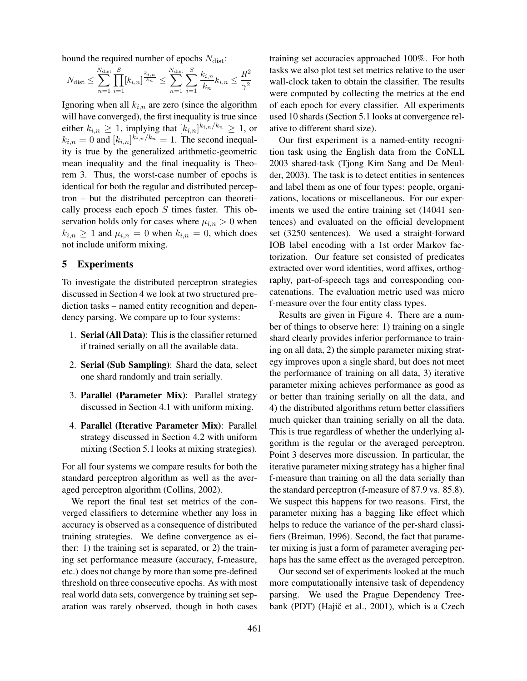bound the required number of epochs  $N_{\text{dist}}$ :

$$
N_{\text{dist}} \le \sum_{n=1}^{N_{\text{dist}}} \prod_{i=1}^{S} [k_{i,n}]^{\frac{k_{i,n}}{k_n}} \le \sum_{n=1}^{N_{\text{dist}}} \sum_{i=1}^{S} \frac{k_{i,n}}{k_n} k_{i,n} \le \frac{R^2}{\gamma^2}
$$

Ignoring when all  $k_{i,n}$  are zero (since the algorithm will have converged), the first inequality is true since either  $k_{i,n} \geq 1$ , implying that  $[k_{i,n}]^{k_{i,n}/k_n} \geq 1$ , or  $k_{i,n} = 0$  and  $[k_{i,n}]^{k_{i,n}/k_n} = 1$ . The second inequality is true by the generalized arithmetic-geometric mean inequality and the final inequality is Theorem 3. Thus, the worst-case number of epochs is identical for both the regular and distributed perceptron – but the distributed perceptron can theoretically process each epoch  $S$  times faster. This observation holds only for cases where  $\mu_{i,n} > 0$  when  $k_{i,n} \ge 1$  and  $\mu_{i,n} = 0$  when  $k_{i,n} = 0$ , which does not include uniform mixing.

## 5 Experiments

To investigate the distributed perceptron strategies discussed in Section 4 we look at two structured prediction tasks – named entity recognition and dependency parsing. We compare up to four systems:

- 1. Serial (All Data): This is the classifier returned if trained serially on all the available data.
- 2. Serial (Sub Sampling): Shard the data, select one shard randomly and train serially.
- 3. Parallel (Parameter Mix): Parallel strategy discussed in Section 4.1 with uniform mixing.
- 4. Parallel (Iterative Parameter Mix): Parallel strategy discussed in Section 4.2 with uniform mixing (Section 5.1 looks at mixing strategies).

For all four systems we compare results for both the standard perceptron algorithm as well as the averaged perceptron algorithm (Collins, 2002).

We report the final test set metrics of the converged classifiers to determine whether any loss in accuracy is observed as a consequence of distributed training strategies. We define convergence as either: 1) the training set is separated, or 2) the training set performance measure (accuracy, f-measure, etc.) does not change by more than some pre-defined threshold on three consecutive epochs. As with most real world data sets, convergence by training set separation was rarely observed, though in both cases training set accuracies approached 100%. For both tasks we also plot test set metrics relative to the user wall-clock taken to obtain the classifier. The results were computed by collecting the metrics at the end of each epoch for every classifier. All experiments used 10 shards (Section 5.1 looks at convergence relative to different shard size).

Our first experiment is a named-entity recognition task using the English data from the CoNLL 2003 shared-task (Tjong Kim Sang and De Meulder, 2003). The task is to detect entities in sentences and label them as one of four types: people, organizations, locations or miscellaneous. For our experiments we used the entire training set (14041 sentences) and evaluated on the official development set (3250 sentences). We used a straight-forward IOB label encoding with a 1st order Markov factorization. Our feature set consisted of predicates extracted over word identities, word affixes, orthography, part-of-speech tags and corresponding concatenations. The evaluation metric used was micro f-measure over the four entity class types.

Results are given in Figure 4. There are a number of things to observe here: 1) training on a single shard clearly provides inferior performance to training on all data, 2) the simple parameter mixing strategy improves upon a single shard, but does not meet the performance of training on all data, 3) iterative parameter mixing achieves performance as good as or better than training serially on all the data, and 4) the distributed algorithms return better classifiers much quicker than training serially on all the data. This is true regardless of whether the underlying algorithm is the regular or the averaged perceptron. Point 3 deserves more discussion. In particular, the iterative parameter mixing strategy has a higher final f-measure than training on all the data serially than the standard perceptron (f-measure of 87.9 vs. 85.8). We suspect this happens for two reasons. First, the parameter mixing has a bagging like effect which helps to reduce the variance of the per-shard classifiers (Breiman, 1996). Second, the fact that parameter mixing is just a form of parameter averaging perhaps has the same effect as the averaged perceptron.

Our second set of experiments looked at the much more computationally intensive task of dependency parsing. We used the Prague Dependency Treebank (PDT) (Hajič et al., 2001), which is a Czech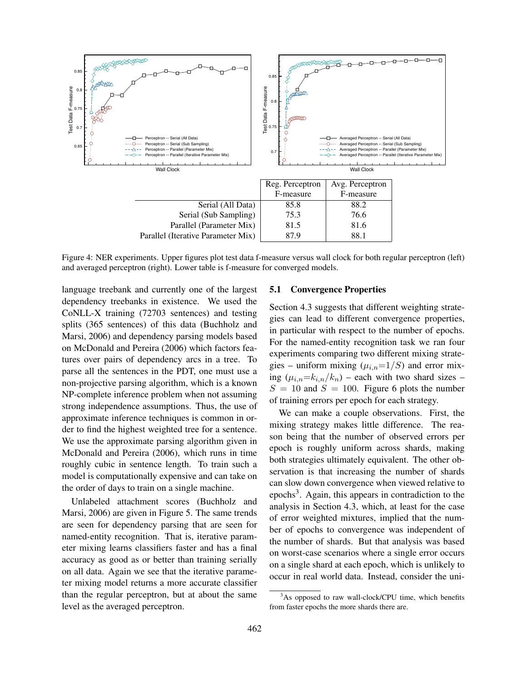

Figure 4: NER experiments. Upper figures plot test data f-measure versus wall clock for both regular perceptron (left) and averaged perceptron (right). Lower table is f-measure for converged models.

language treebank and currently one of the largest dependency treebanks in existence. We used the CoNLL-X training (72703 sentences) and testing splits (365 sentences) of this data (Buchholz and Marsi, 2006) and dependency parsing models based on McDonald and Pereira (2006) which factors features over pairs of dependency arcs in a tree. To parse all the sentences in the PDT, one must use a non-projective parsing algorithm, which is a known NP-complete inference problem when not assuming strong independence assumptions. Thus, the use of approximate inference techniques is common in order to find the highest weighted tree for a sentence. We use the approximate parsing algorithm given in McDonald and Pereira (2006), which runs in time roughly cubic in sentence length. To train such a model is computationally expensive and can take on the order of days to train on a single machine.

Unlabeled attachment scores (Buchholz and Marsi, 2006) are given in Figure 5. The same trends are seen for dependency parsing that are seen for named-entity recognition. That is, iterative parameter mixing learns classifiers faster and has a final accuracy as good as or better than training serially on all data. Again we see that the iterative parameter mixing model returns a more accurate classifier than the regular perceptron, but at about the same level as the averaged perceptron.

#### 5.1 Convergence Properties

Section 4.3 suggests that different weighting strategies can lead to different convergence properties, in particular with respect to the number of epochs. For the named-entity recognition task we ran four experiments comparing two different mixing strategies – uniform mixing  $(\mu_{i,n}=1/S)$  and error mixing  $(\mu_{i,n}=k_{i,n}/k_n)$  – each with two shard sizes –  $S = 10$  and  $S = 100$ . Figure 6 plots the number of training errors per epoch for each strategy.

We can make a couple observations. First, the mixing strategy makes little difference. The reason being that the number of observed errors per epoch is roughly uniform across shards, making both strategies ultimately equivalent. The other observation is that increasing the number of shards can slow down convergence when viewed relative to epochs<sup>3</sup>. Again, this appears in contradiction to the analysis in Section 4.3, which, at least for the case of error weighted mixtures, implied that the number of epochs to convergence was independent of the number of shards. But that analysis was based on worst-case scenarios where a single error occurs on a single shard at each epoch, which is unlikely to occur in real world data. Instead, consider the uni-

 $3$ As opposed to raw wall-clock/CPU time, which benefits from faster epochs the more shards there are.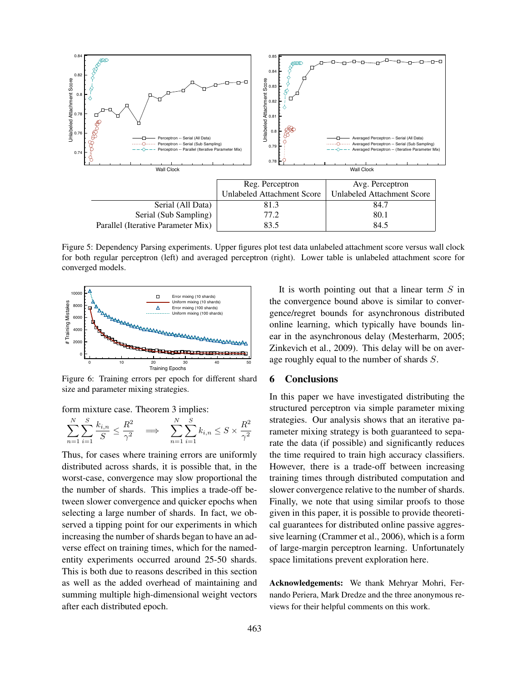

Figure 5: Dependency Parsing experiments. Upper figures plot test data unlabeled attachment score versus wall clock for both regular perceptron (left) and averaged perceptron (right). Lower table is unlabeled attachment score for converged models.



Figure 6: Training errors per epoch for different shard size and parameter mixing strategies.

form mixture case. Theorem 3 implies:

$$
\sum_{n=1}^{N} \sum_{i=1}^{S} \frac{k_{i,n}}{S} \le \frac{R^2}{\gamma^2} \quad \Longrightarrow \quad \sum_{n=1}^{N} \sum_{i=1}^{S} k_{i,n} \le S \times \frac{R^2}{\gamma^2}
$$

Thus, for cases where training errors are uniformly distributed across shards, it is possible that, in the worst-case, convergence may slow proportional the the number of shards. This implies a trade-off between slower convergence and quicker epochs when selecting a large number of shards. In fact, we observed a tipping point for our experiments in which increasing the number of shards began to have an adverse effect on training times, which for the namedentity experiments occurred around 25-50 shards. This is both due to reasons described in this section as well as the added overhead of maintaining and summing multiple high-dimensional weight vectors after each distributed epoch.

It is worth pointing out that a linear term  $S$  in the convergence bound above is similar to convergence/regret bounds for asynchronous distributed online learning, which typically have bounds linear in the asynchronous delay (Mesterharm, 2005; Zinkevich et al., 2009). This delay will be on average roughly equal to the number of shards S.

#### 6 Conclusions

In this paper we have investigated distributing the structured perceptron via simple parameter mixing strategies. Our analysis shows that an iterative parameter mixing strategy is both guaranteed to separate the data (if possible) and significantly reduces the time required to train high accuracy classifiers. However, there is a trade-off between increasing training times through distributed computation and slower convergence relative to the number of shards. Finally, we note that using similar proofs to those given in this paper, it is possible to provide theoretical guarantees for distributed online passive aggressive learning (Crammer et al., 2006), which is a form of large-margin perceptron learning. Unfortunately space limitations prevent exploration here.

Acknowledgements: We thank Mehryar Mohri, Fernando Periera, Mark Dredze and the three anonymous reviews for their helpful comments on this work.